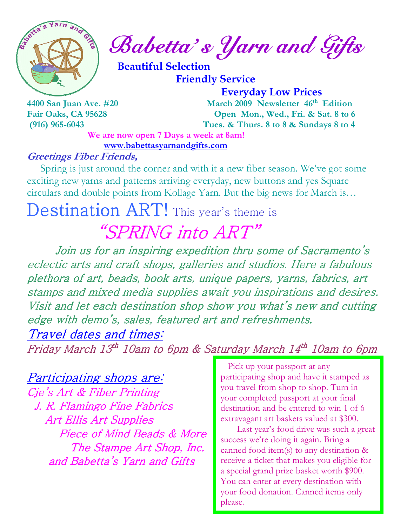

 $\int_{a}^{\infty}$   $\int_{a}^{\infty}$   $\int_{a}^{a}$   $\int_{a}^{a}$   $\int_{a}^{a}$   $\int_{a}^{a}$   $\int_{a}^{a}$   $\int_{a}^{a}$   $\int_{a}^{a}$   $\int_{a}^{a}$   $\int_{a}^{a}$   $\int_{a}^{a}$   $\int_{a}^{a}$   $\int_{a}^{a}$   $\int_{a}^{a}$   $\int_{a}^{a}$   $\int_{a}^{a}$   $\int_{a}^{a}$   $\int_{a}^{a}$   $\int_{a}^{a$ 

 Beautiful Selection Friendly Service

 Everyday Low Prices 4400 San Juan Ave. #20 March 2009 Newsletter 46<sup>th</sup> Edition Fair Oaks, CA 95628 Open Mon., Wed., Fri. & Sat. 8 to 6 (916) 965-6043 Tues. & Thurs. 8 to 8 & Sundays 8 to 4

We are now open 7 Days a week at 8am! www.babettasyarnandgifts.com

#### Greetings Fiber Friends,

 Spring is just around the corner and with it a new fiber season. We've got some exciting new yarns and patterns arriving everyday, new buttons and yes Square circulars and double points from Kollage Yarn. But the big news for March is…

# Destination ART! This year's theme is "SPRING into ART"

 Join us for an inspiring expedition thru some of Sacramento's eclectic arts and craft shops, galleries and studios. Here a fabulous plethora of art, beads, book arts, unique papers, yarns, fabrics, art stamps and mixed media supplies await you inspirations and desires. Visit and let each destination shop show you what's new and cutting edge with demo's, sales, featured art and refreshments. Travel dates and times:

Friday March 13<sup>th</sup> 10am to 6pm & Saturday March 14<sup>th</sup> 10am to 6pm

# Participating shops are:

Cje's Art & Fiber Printing J. R. Flamingo Fine Fabrics **Art Ellis Art Supplies** Piece of Mind Beads & More The Stampe Art Shop, Inc. and Babetta's Yarn and Gifts

 Pick up your passport at any participating shop and have it stamped as you travel from shop to shop. Turn in your completed passport at your final destination and be entered to win 1 of 6 extravagant art baskets valued at \$300.

 Last year's food drive was such a great success we're doing it again. Bring a canned food item(s) to any destination & receive a ticket that makes you eligible for a special grand prize basket worth \$900. You can enter at every destination with your food donation. Canned items only please.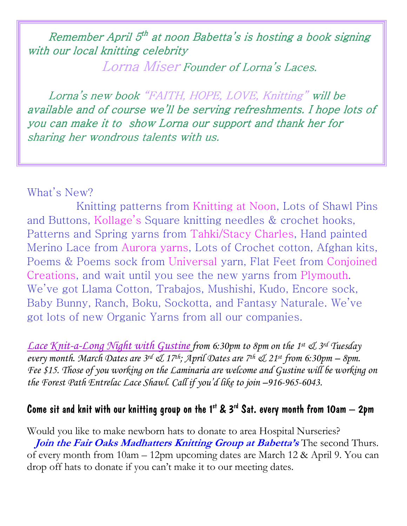Remember April 5<sup>th</sup> at noon Babetta's is hosting a book signing with our local knitting celebrity

Lorna Miser Founder of Lorna's Laces.

Lorna's new book "FAITH, HOPE, LOVE, Knitting" will be available and of course we'll be serving refreshments. I hope lots of you can make it to show Lorna our support and thank her for sharing her wondrous talents with us.

## What's New?

 Knitting patterns from Knitting at Noon, Lots of Shawl Pins and Buttons, Kollage's Square knitting needles & crochet hooks, Patterns and Spring yarns from Tahki/Stacy Charles, Hand painted Merino Lace from Aurora yarns, Lots of Crochet cotton, Afghan kits, Poems & Poems sock from Universal yarn, Flat Feet from Conjoined Creations, and wait until you see the new yarns from Plymouth. We've got Llama Cotton, Trabajos, Mushishi, Kudo, Encore sock, Baby Bunny, Ranch, Boku, Sockotta, and Fantasy Naturale. We've got lots of new Organic Yarns from all our companies.

Lace Knit-a-Long Night with Gustine from 6:30pm to 8pm on the 1st & 3rd Tuesday every month. March Dates are  $3^{rd}$   $\mathcal{A}$  17<sup>th</sup>; April Dates are 7<sup>th</sup>  $\mathcal{A}$  21<sup>st</sup> from 6:30pm – 8pm. Fee \$15. Those of you working on the Laminaria are welcome and Gustine will be working on the Forest Path Entrelac Lace Shawl. Call if you'd like to join –916-965-6043.

# Come sit and knit with our knitting group on the 1<sup>st</sup> & 3<sup>rd</sup> Sat. every month from 10am  $-$  2pm

Would you like to make newborn hats to donate to area Hospital Nurseries? Join the Fair Oaks Madhatters Knitting Group at Babetta's The second Thurs. of every month from 10am – 12pm upcoming dates are March 12 & April 9. You can drop off hats to donate if you can't make it to our meeting dates.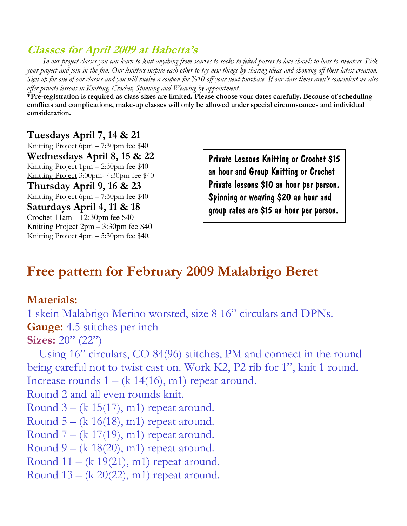# Classes for April 2009 at Babetta's

 In our project classes you can learn to knit anything from scarves to socks to felted purses to lace shawls to hats to sweaters. Pick your project and join in the fun. Our knitters inspire each other to try new things by sharing ideas and showing off their latest creation. Sign up for one of our classes and you will receive a coupon for %10 off your next purchase. If our class times aren't convenient we also offer private lessons in Knitting, Crochet, Spinning and Weaving by appointment.

\*Pre-registration is required as class sizes are limited. Please choose your dates carefully. Because of scheduling conflicts and complications, make-up classes will only be allowed under special circumstances and individual consideration.

#### Tuesdays April 7, 14 & 21

Knitting Project 6pm – 7:30pm fee \$40 Wednesdays April 8, 15 & 22 Knitting Project 1pm – 2:30pm fee \$40 Knitting Project 3:00pm- 4:30pm fee \$40 Thursday April 9, 16 & 23 Knitting Project 6pm – 7:30pm fee \$40 Saturdays April 4, 11 & 18 Crochet 11am – 12:30pm fee \$40 Knitting Project 2pm – 3:30pm fee \$40

Knitting Project 4pm – 5:30pm fee \$40.

Private Lessons Knitting or Crochet \$15 an hour and Group Knitting or Crochet Private lessons \$10 an hour per person. Spinning or weaving \$20 an hour and group rates are \$15 an hour per person.

# Free pattern for February 2009 Malabrigo Beret

### Materials:

1 skein Malabrigo Merino worsted, size 8 16" circulars and DPNs. Gauge: 4.5 stitches per inch

#### Sizes: 20" (22")

 Using 16" circulars, CO 84(96) stitches, PM and connect in the round being careful not to twist cast on. Work K2, P2 rib for 1", knit 1 round. Increase rounds  $1 - (k \ 14(16), m1)$  repeat around.

Round 2 and all even rounds knit.

Round  $3 - (k 15(17), m1)$  repeat around.

Round  $5 - (k \ 16(18), m1)$  repeat around.

Round  $7 - (k \ 17(19), m1)$  repeat around.

Round  $9 - (k \ 18(20), m1)$  repeat around.

Round  $11 - (k 19(21), m1)$  repeat around.

Round  $13 - (k 20(22), m1)$  repeat around.